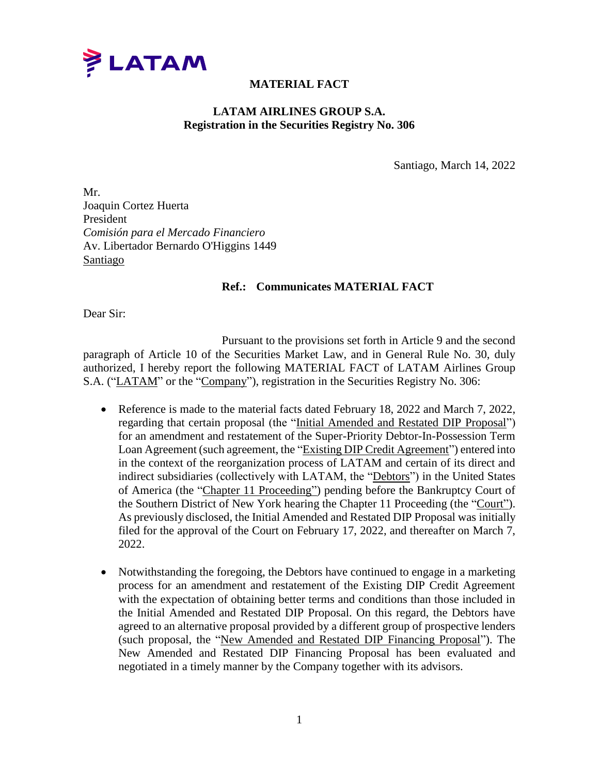

## **MATERIAL FACT**

## **LATAM AIRLINES GROUP S.A. Registration in the Securities Registry No. 306**

Santiago, March 14, 2022

Mr. Joaquin Cortez Huerta President *Comisión para el Mercado Financiero* Av. Libertador Bernardo O'Higgins 1449 Santiago

## **Ref.: Communicates MATERIAL FACT**

Dear Sir:

Pursuant to the provisions set forth in Article 9 and the second paragraph of Article 10 of the Securities Market Law, and in General Rule No. 30, duly authorized, I hereby report the following MATERIAL FACT of LATAM Airlines Group S.A. ("LATAM" or the "Company"), registration in the Securities Registry No. 306:

- Reference is made to the material facts dated February 18, 2022 and March 7, 2022, regarding that certain proposal (the "Initial Amended and Restated DIP Proposal") for an amendment and restatement of the Super-Priority Debtor-In-Possession Term Loan Agreement (such agreement, the "Existing DIP Credit Agreement") entered into in the context of the reorganization process of LATAM and certain of its direct and indirect subsidiaries (collectively with LATAM, the "Debtors") in the United States of America (the "Chapter 11 Proceeding") pending before the Bankruptcy Court of the Southern District of New York hearing the Chapter 11 Proceeding (the "Court"). As previously disclosed, the Initial Amended and Restated DIP Proposal was initially filed for the approval of the Court on February 17, 2022, and thereafter on March 7, 2022.
- Notwithstanding the foregoing, the Debtors have continued to engage in a marketing process for an amendment and restatement of the Existing DIP Credit Agreement with the expectation of obtaining better terms and conditions than those included in the Initial Amended and Restated DIP Proposal. On this regard, the Debtors have agreed to an alternative proposal provided by a different group of prospective lenders (such proposal, the "New Amended and Restated DIP Financing Proposal"). The New Amended and Restated DIP Financing Proposal has been evaluated and negotiated in a timely manner by the Company together with its advisors.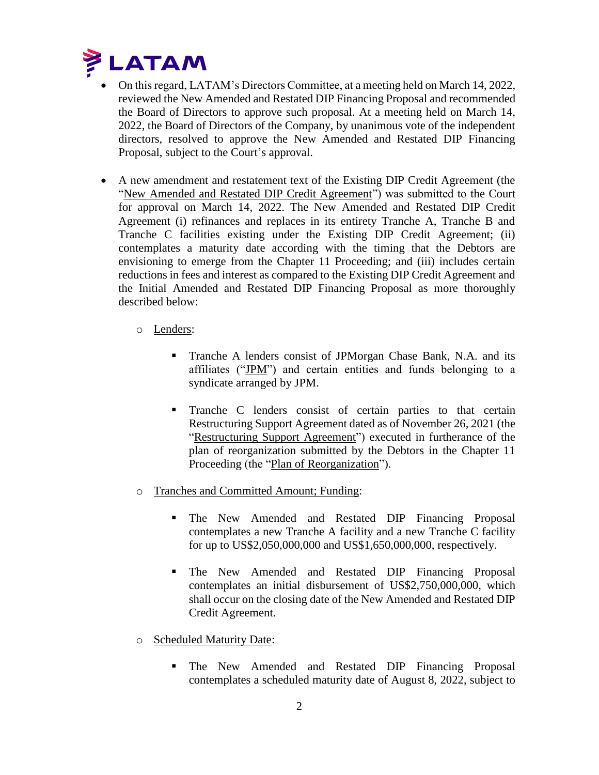

- On this regard, LATAM's Directors Committee, at a meeting held on March 14, 2022, reviewed the New Amended and Restated DIP Financing Proposal and recommended the Board of Directors to approve such proposal. At a meeting held on March 14, 2022, the Board of Directors of the Company, by unanimous vote of the independent directors, resolved to approve the New Amended and Restated DIP Financing Proposal, subject to the Court's approval.
- A new amendment and restatement text of the Existing DIP Credit Agreement (the "New Amended and Restated DIP Credit Agreement") was submitted to the Court for approval on March 14, 2022. The New Amended and Restated DIP Credit Agreement (i) refinances and replaces in its entirety Tranche A, Tranche B and Tranche C facilities existing under the Existing DIP Credit Agreement; (ii) contemplates a maturity date according with the timing that the Debtors are envisioning to emerge from the Chapter 11 Proceeding; and (iii) includes certain reductions in fees and interest as compared to the Existing DIP Credit Agreement and the Initial Amended and Restated DIP Financing Proposal as more thoroughly described below:
	- o Lenders:
		- **Tranche A lenders consist of JPMorgan Chase Bank, N.A. and its** affiliates ("JPM") and certain entities and funds belonging to a syndicate arranged by JPM.
		- **Tranche C** lenders consist of certain parties to that certain Restructuring Support Agreement dated as of November 26, 2021 (the "Restructuring Support Agreement") executed in furtherance of the plan of reorganization submitted by the Debtors in the Chapter 11 Proceeding (the "Plan of Reorganization").
	- o Tranches and Committed Amount; Funding:
		- **The New Amended and Restated DIP Financing Proposal** contemplates a new Tranche A facility and a new Tranche C facility for up to US\$2,050,000,000 and US\$1,650,000,000, respectively.
		- **The New Amended and Restated DIP Financing Proposal** contemplates an initial disbursement of US\$2,750,000,000, which shall occur on the closing date of the New Amended and Restated DIP Credit Agreement.
	- o Scheduled Maturity Date:
		- **The New Amended and Restated DIP Financing Proposal** contemplates a scheduled maturity date of August 8, 2022, subject to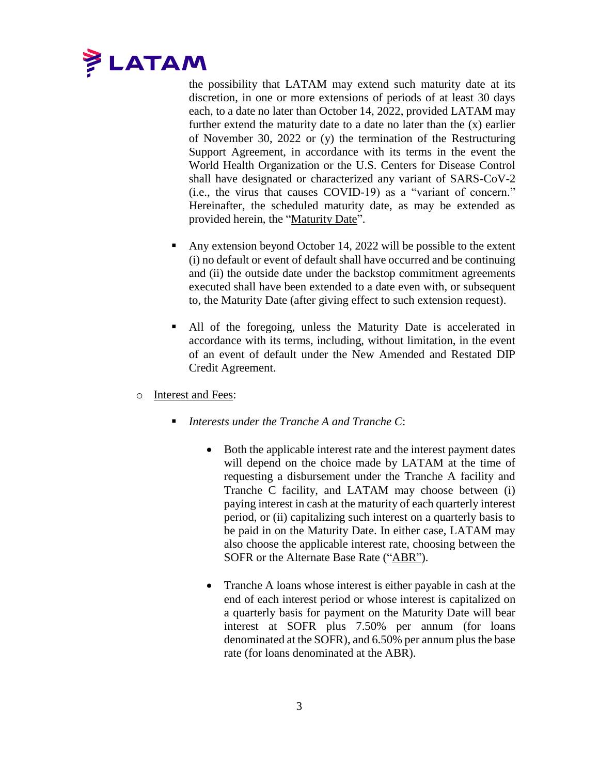

the possibility that LATAM may extend such maturity date at its discretion, in one or more extensions of periods of at least 30 days each, to a date no later than October 14, 2022, provided LATAM may further extend the maturity date to a date no later than the  $(x)$  earlier of November 30, 2022 or (y) the termination of the Restructuring Support Agreement, in accordance with its terms in the event the World Health Organization or the U.S. Centers for Disease Control shall have designated or characterized any variant of SARS-CoV-2 (i.e., the virus that causes COVID-19) as a "variant of concern." Hereinafter, the scheduled maturity date, as may be extended as provided herein, the "Maturity Date".

- Any extension beyond October 14, 2022 will be possible to the extent (i) no default or event of default shall have occurred and be continuing and (ii) the outside date under the backstop commitment agreements executed shall have been extended to a date even with, or subsequent to, the Maturity Date (after giving effect to such extension request).
- All of the foregoing, unless the Maturity Date is accelerated in accordance with its terms, including, without limitation, in the event of an event of default under the New Amended and Restated DIP Credit Agreement.
- o Interest and Fees:
	- *Interests under the Tranche A and Tranche C*:
		- Both the applicable interest rate and the interest payment dates will depend on the choice made by LATAM at the time of requesting a disbursement under the Tranche A facility and Tranche C facility, and LATAM may choose between (i) paying interest in cash at the maturity of each quarterly interest period, or (ii) capitalizing such interest on a quarterly basis to be paid in on the Maturity Date. In either case, LATAM may also choose the applicable interest rate, choosing between the SOFR or the Alternate Base Rate ("ABR").
		- Tranche A loans whose interest is either payable in cash at the end of each interest period or whose interest is capitalized on a quarterly basis for payment on the Maturity Date will bear interest at SOFR plus 7.50% per annum (for loans denominated at the SOFR), and 6.50% per annum plus the base rate (for loans denominated at the ABR).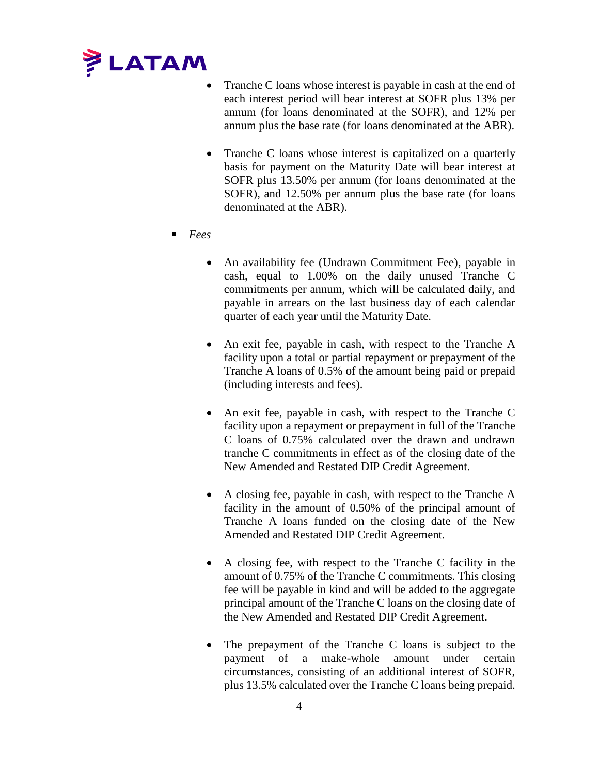

- Tranche C loans whose interest is payable in cash at the end of each interest period will bear interest at SOFR plus 13% per annum (for loans denominated at the SOFR), and 12% per annum plus the base rate (for loans denominated at the ABR).
- Tranche C loans whose interest is capitalized on a quarterly basis for payment on the Maturity Date will bear interest at SOFR plus 13.50% per annum (for loans denominated at the SOFR), and 12.50% per annum plus the base rate (for loans denominated at the ABR).
- *Fees*
	- An availability fee (Undrawn Commitment Fee), payable in cash, equal to 1.00% on the daily unused Tranche C commitments per annum, which will be calculated daily, and payable in arrears on the last business day of each calendar quarter of each year until the Maturity Date.
	- An exit fee, payable in cash, with respect to the Tranche A facility upon a total or partial repayment or prepayment of the Tranche A loans of 0.5% of the amount being paid or prepaid (including interests and fees).
	- An exit fee, payable in cash, with respect to the Tranche C facility upon a repayment or prepayment in full of the Tranche C loans of 0.75% calculated over the drawn and undrawn tranche C commitments in effect as of the closing date of the New Amended and Restated DIP Credit Agreement.
	- A closing fee, payable in cash, with respect to the Tranche A facility in the amount of 0.50% of the principal amount of Tranche A loans funded on the closing date of the New Amended and Restated DIP Credit Agreement.
	- A closing fee, with respect to the Tranche C facility in the amount of 0.75% of the Tranche C commitments. This closing fee will be payable in kind and will be added to the aggregate principal amount of the Tranche C loans on the closing date of the New Amended and Restated DIP Credit Agreement.
	- The prepayment of the Tranche C loans is subject to the payment of a make-whole amount under certain circumstances, consisting of an additional interest of SOFR, plus 13.5% calculated over the Tranche C loans being prepaid.